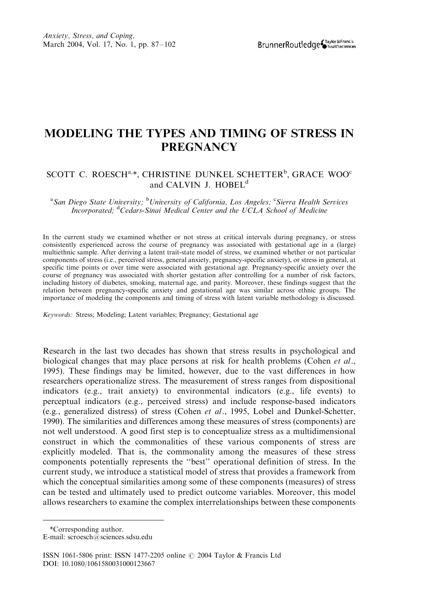# MODELING THE TYPES AND TIMING OF STRESS IN **PREGNANCY**

# SCOTT C. ROESCH<sup>a,\*</sup>, CHRISTINE DUNKEL SCHETTER<sup>b</sup>, GRACE WOO<sup>c</sup> and CALVIN J. HOBEL<sup>d</sup>

# <sup>a</sup>San Diego State University; <sup>b</sup>University of California, Los Angeles; <sup>c</sup>Sierra Health Services Incorporated; <sup>d</sup>Cedars-Sinai Medical Center and the UCLA School of Medicine

In the current study we examined whether or not stress at critical intervals during pregnancy, or stress consistently experienced across the course of pregnancy was associated with gestational age in a (large) multiethnic sample. After deriving a latent trait-state model of stress, we examined whether or not particular components of stress (i.e., perceived stress, general anxiety, pregnancy-specific anxiety), or stress in general, at specific time points or over time were associated with gestational age. Pregnancy-specific anxiety over the course of pregnancy was associated with shorter gestation after controlling for a number of risk factors, including history of diabetes, smoking, maternal age, and parity. Moreover, these findings suggest that the relation between pregnancy-specific anxiety and gestational age was similar across ethnic groups. The importance of modeling the components and timing of stress with latent variable methodology is discussed.

Keywords: Stress; Modeling; Latent variables; Pregnancy; Gestational age

Research in the last two decades has shown that stress results in psychological and biological changes that may place persons at risk for health problems (Cohen et al., 1995). These findings may be limited, however, due to the vast differences in how researchers operationalize stress. The measurement of stress ranges from dispositional indicators (e.g., trait anxiety) to environmental indicators (e.g., life events) to perceptual indicators (e.g., perceived stress) and include response-based indicators (e.g., generalized distress) of stress (Cohen et al., 1995, Lobel and Dunkel-Schetter, 1990). The similarities and differences among these measures of stress (components) are not well understood. A good first step is to conceptualize stress as a multidimensional construct in which the commonalities of these various components of stress are explicitly modeled. That is, the commonality among the measures of these stress components potentially represents the ''best'' operational definition of stress. In the current study, we introduce a statistical model of stress that provides a framework from which the conceptual similarities among some of these components (measures) of stress can be tested and ultimately used to predict outcome variables. Moreover, this model allows researchers to examine the complex interrelationships between these components

\*Corresponding author.

E-mail: scroesch@sciences.sdsu.edu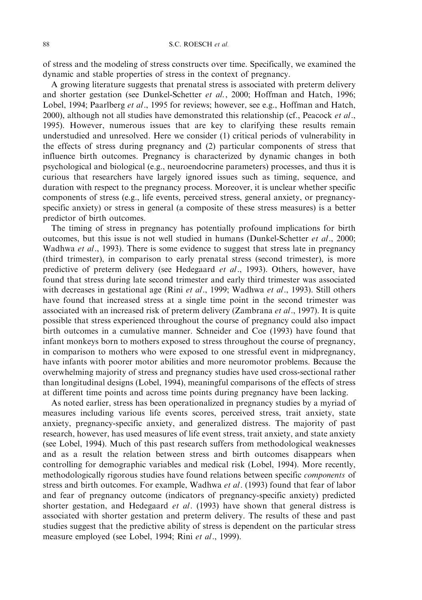of stress and the modeling of stress constructs overtime. Specifically, we examined the dynamic and stable properties of stress in the context of pregnancy.

A growing literature suggests that prenatal stress is associated with preterm delivery and shorter gestation (see Dunkel-Schetter et al., 2000; Hoffman and Hatch, 1996; Lobel, 1994; Paarlberg et al., 1995 for reviews; however, see e.g., Hoffman and Hatch, 2000), although not all studies have demonstrated this relationship (cf., Peacock et al., 1995). However, numerous issues that are key to clarifying these results remain understudied and unresolved. Here we consider (1) critical periods of vulnerability in the effects of stress during pregnancy and (2) particular components of stress that influence birth outcomes. Pregnancy is characterized by dynamic changes in both psychological and biological (e.g., neuroendocrine parameters) processes, and thus it is curious that researchers have largely ignored issues such as timing, sequence, and duration with respect to the pregnancy process. Moreover, it is unclear whether specific components of stress (e.g., life events, perceived stress, general anxiety, or pregnancyspecific anxiety) or stress in general (a composite of these stress measures) is a better predictor of birth outcomes.

The timing of stress in pregnancy has potentially profound implications for birth outcomes, but this issue is not well studied in humans (Dunkel-Schetter *et al.*, 2000; Wadhwa *et al.*, 1993). There is some evidence to suggest that stress late in pregnancy (third trimester), in comparison to early prenatal stress (second trimester), is more predictive of preterm delivery (see Hedegaard et al., 1993). Others, however, have found that stress during late second trimester and early third trimester was associated with decreases in gestational age (Rini et al., 1999; Wadhwa et al., 1993). Still others have found that increased stress at a single time point in the second trimester was associated with an increased risk of preterm delivery (Zambrana et al., 1997). It is quite possible that stress experienced throughout the course of pregnancy could also impact birth outcomes in a cumulative manner. Schneider and Coe (1993) have found that infant monkeys born to mothers exposed to stress throughout the course of pregnancy, in comparison to mothers who were exposed to one stressful event in midpregnancy, have infants with poorer motor abilities and more neuromotor problems. Because the overwhelming majority of stress and pregnancy studies have used cross-sectional rather than longitudinal designs (Lobel, 1994), meaningful comparisons of the effects of stress at different time points and across time points during pregnancy have been lacking.

As noted earlier, stress has been operationalized in pregnancy studies by a myriad of measures including various life events scores, perceived stress, trait anxiety, state anxiety, pregnancy-specific anxiety, and generalized distress. The majority of past research, however, has used measures of life event stress, trait anxiety, and state anxiety (see Lobel, 1994). Much of this past research suffers from methodological weaknesses and as a result the relation between stress and birth outcomes disappears when controlling for demographic variables and medical risk (Lobel, 1994). More recently, methodologically rigorous studies have found relations between specific components of stress and birth outcomes. For example, Wadhwa et al. (1993) found that fearof labor and fear of pregnancy outcome (indicators of pregnancy-specific anxiety) predicted shorter gestation, and Hedegaard *et al.* (1993) have shown that general distress is associated with shorter gestation and preterm delivery. The results of these and past studies suggest that the predictive ability of stress is dependent on the particular stress measure employed (see Lobel, 1994; Rini et al., 1999).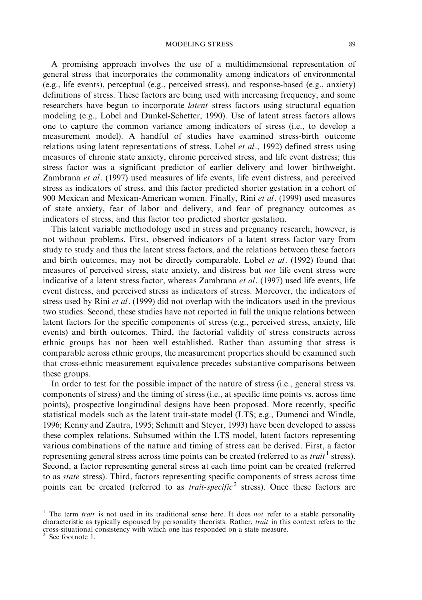#### MODELING STRESS 89

A promising approach involves the use of a multidimensional representation of general stress that incorporates the commonality among indicators of environmental (e.g., life events), perceptual (e.g., perceived stress), and response-based (e.g., anxiety) definitions of stress. These factors are being used with increasing frequency, and some researchers have begun to incorporate latent stress factors using structural equation modeling (e.g., Lobel and Dunkel-Schetter, 1990). Use of latent stress factors allows one to capture the common variance among indicators of stress (i.e., to develop a measurement model). A handful of studies have examined stress-birth outcome relations using latent representations of stress. Lobel *et al.*, 1992) defined stress using measures of chronic state anxiety, chronic perceived stress, and life event distress; this stress factor was a significant predictor of earlier delivery and lower birthweight. Zambrana et al. (1997) used measures of life events, life event distress, and perceived stress as indicators of stress, and this factor predicted shorter gestation in a cohort of 900 Mexican and Mexican-American women. Finally, Rini et al. (1999) used measures of state anxiety, fearof laborand delivery, and fear of pregnancy outcomes as indicators of stress, and this factor too predicted shorter gestation.

This latent variable methodology used in stress and pregnancy research, however, is not without problems. First, observed indicators of a latent stress factor vary from study to study and thus the latent stress factors, and the relations between these factors and birth outcomes, may not be directly comparable. Lobel et al. (1992) found that measures of perceived stress, state anxiety, and distress but not life event stress were indicative of a latent stress factor, whereas Zambrana et al.  $(1997)$  used life events, life event distress, and perceived stress as indicators of stress. Moreover, the indicators of stress used by Rini et al. (1999) did not overlap with the indicators used in the previous two studies. Second, these studies have not reported in full the unique relations between latent factors for the specific components of stress (e.g., perceived stress, anxiety, life events) and birth outcomes. Third, the factorial validity of stress constructs across ethnic groups has not been well established. Rather than assuming that stress is comparable across ethnic groups, the measurement properties should be examined such that cross-ethnic measurement equivalence precedes substantive comparisons between these groups.

In order to test for the possible impact of the nature of stress (i.e., general stress vs. components of stress) and the timing of stress (i.e., at specific time points vs. across time points), prospective longitudinal designs have been proposed. More recently, specific statistical models such as the latent trait-state model (LTS; e.g., Dumenci and Windle, 1996; Kenny and Zautra, 1995; Schmitt and Steyer, 1993) have been developed to assess these complex relations. Subsumed within the LTS model, latent factors representing various combinations of the nature and timing of stress can be derived. First, a factor representing general stress across time points can be created (referred to as  $\text{train}^1$  stress). Second, a factor representing general stress at each time point can be created (referred to as state stress). Third, factors representing specific components of stress across time points can be created (referred to as *trait-specific*<sup>2</sup> stress). Once these factors are

<sup>&</sup>lt;sup>1</sup> The term *trait* is not used in its traditional sense here. It does *not* refer to a stable personality characteristic as typically espoused by personality theorists. Rather, trait in this context refers to the cross-situational consistency with which one has responded on a state measure.

See footnote 1.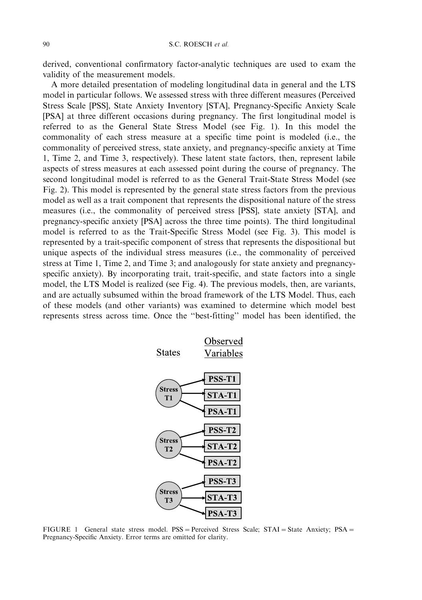derived, conventional confirmatory factor-analytic techniques are used to exam the validity of the measurement models.

A more detailed presentation of modeling longitudinal data in general and the LTS model in particular follows. We assessed stress with three different measures (Perceived Stress Scale [PSS], State Anxiety Inventory [STA], Pregnancy-Specific Anxiety Scale [PSA] at three different occasions during pregnancy. The first longitudinal model is referred to as the General State Stress Model (see Fig. 1). In this model the commonality of each stress measure at a specific time point is modeled (i.e., the commonality of perceived stress, state anxiety, and pregnancy-specific anxiety at Time 1, Time 2, and Time 3, respectively). These latent state factors, then, represent labile aspects of stress measures at each assessed point during the course of pregnancy. The second longitudinal model is referred to as the General Trait-State Stress Model (see Fig. 2). This model is represented by the general state stress factors from the previous model as well as a trait component that represents the dispositional nature of the stress measures (i.e., the commonality of perceived stress [PSS], state anxiety [STA], and pregnancy-specific anxiety [PSA] across the three time points). The third longitudinal model is referred to as the Trait-Specific Stress Model (see Fig. 3). This model is represented by a trait-specific component of stress that represents the dispositional but unique aspects of the individual stress measures (i.e., the commonality of perceived stress at Time 1, Time 2, and Time 3; and analogously for state anxiety and pregnancyspecific anxiety). By incorporating trait, trait-specific, and state factors into a single model, the LTS Model is realized (see Fig. 4). The previous models, then, are variants, and are actually subsumed within the broad framework of the LTS Model. Thus, each of these models (and other variants) was examined to determine which model best represents stress across time. Once the ''best-fitting'' model has been identified, the



FIGURE 1 General state stress model. PSS = Perceived Stress Scale; STAI = State Anxiety; PSA = Pregnancy-Specific Anxiety. Error terms are omitted for clarity.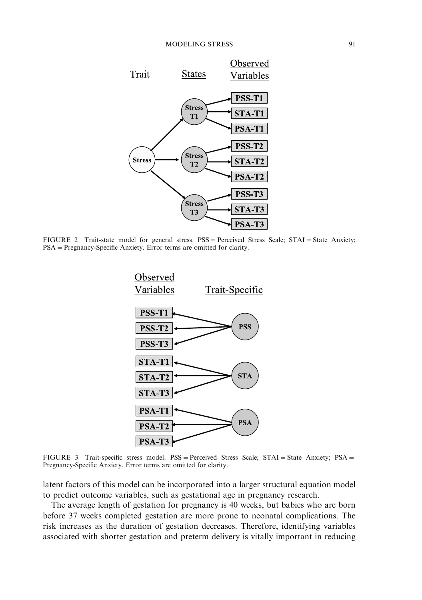

FIGURE 2 Trait-state model for general stress. PSS = Perceived Stress Scale; STAI = State Anxiety; PSA = Pregnancy-Specific Anxiety. Error terms are omitted for clarity.



FIGURE 3 Trait-specific stress model.  $PSS =$  Perceived Stress Scale;  $STAI = State$  Anxiety;  $PSA =$ Pregnancy-Specific Anxiety. Error terms are omitted for clarity.

latent factors of this model can be incorporated into a larger structural equation model to predict outcome variables, such as gestational age in pregnancy research.

The average length of gestation for pregnancy is 40 weeks, but babies who are born before 37 weeks completed gestation are more prone to neonatal complications. The risk increases as the duration of gestation decreases. Therefore, identifying variables associated with shorter gestation and preterm delivery is vitally important in reducing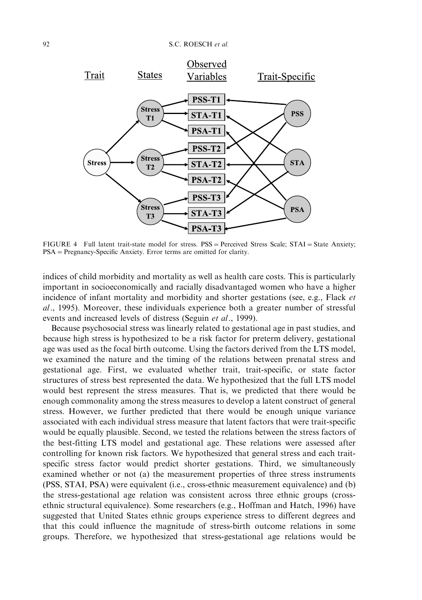

FIGURE 4 Full latent trait-state model for stress. PSS = Perceived Stress Scale; STAI = State Anxiety; PSA = Pregnancy-Specific Anxiety. Error terms are omitted for clarity.

indices of child morbidity and mortality as well as health care costs. This is particularly important in socioeconomically and racially disadvantaged women who have a higher incidence of infant mortality and morbidity and shorter gestations (see, e.g., Flack et al., 1995). Moreover, these individuals experience both a greater number of stressful events and increased levels of distress (Seguin et al., 1999).

Because psychosocial stress was linearly related to gestational age in past studies, and because high stress is hypothesized to be a risk factor for preterm delivery, gestational age was used as the focal birth outcome. Using the factors derived from the LTS model, we examined the nature and the timing of the relations between prenatal stress and gestational age. First, we evaluated whether trait, trait-specific, or state factor structures of stress best represented the data. We hypothesized that the full LTS model would best represent the stress measures. That is, we predicted that there would be enough commonality among the stress measures to develop a latent construct of general stress. However, we further predicted that there would be enough unique variance associated with each individual stress measure that latent factors that were trait-specific would be equally plausible. Second, we tested the relations between the stress factors of the best-fitting LTS model and gestational age. These relations were assessed after controlling for known risk factors. We hypothesized that general stress and each traitspecific stress factor would predict shorter gestations. Third, we simultaneously examined whether or not (a) the measurement properties of three stress instruments (PSS, STAI, PSA) were equivalent (i.e., cross-ethnic measurement equivalence) and (b) the stress-gestational age relation was consistent across three ethnic groups (crossethnic structural equivalence). Some researchers (e.g., Hoffman and Hatch, 1996) have suggested that United States ethnic groups experience stress to different degrees and that this could influence the magnitude of stress-birth outcome relations in some groups. Therefore, we hypothesized that stress-gestational age relations would be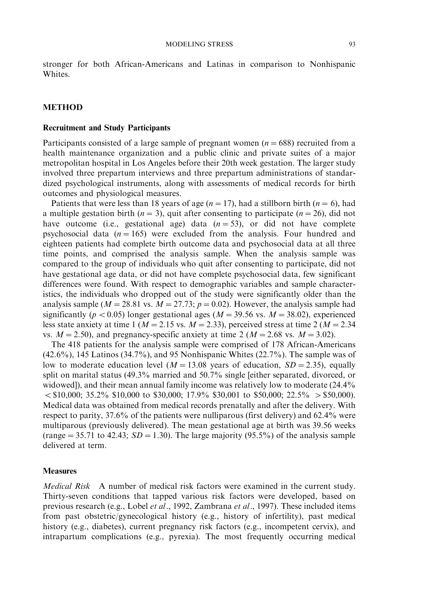stronger for both African-Americans and Latinas in comparison to Nonhispanic Whites.

# **METHOD**

# Recruitment and Study Participants

Participants consisted of a large sample of pregnant women ( $n = 688$ ) recruited from a health maintenance organization and a public clinic and private suites of a major metropolitan hospital in Los Angeles before their 20th week gestation. The larger study involved three prepartum interviews and three prepartum administrations of standardized psychological instruments, along with assessments of medical records for birth outcomes and physiological measures.

Patients that were less than 18 years of age ( $n = 17$ ), had a stillborn birth ( $n = 6$ ), had a multiple gestation birth ( $n = 3$ ), quit after consenting to participate ( $n = 26$ ), did not have outcome (i.e., gestational age) data  $(n=53)$ , or did not have complete psychosocial data  $(n = 165)$  were excluded from the analysis. Four hundred and eighteen patients had complete birth outcome data and psychosocial data at all three time points, and comprised the analysis sample. When the analysis sample was compared to the group of individuals who quit after consenting to participate, did not have gestational age data, or did not have complete psychosocial data, few significant differences were found. With respect to demographic variables and sample characteristics, the individuals who dropped out of the study were significantly older than the analysis sample  $(M = 28.81 \text{ vs. } M = 27.73; p = 0.02)$ . However, the analysis sample had significantly ( $p < 0.05$ ) longer gestational ages ( $M = 39.56$  vs.  $M = 38.02$ ), experienced less state anxiety at time 1 ( $M = 2.15$  vs.  $M = 2.33$ ), perceived stress at time 2 ( $M = 2.34$ vs.  $M = 2.50$ , and pregnancy-specific anxiety at time 2 ( $M = 2.68$  vs.  $M = 3.02$ ).

The 418 patients for the analysis sample were comprised of 178 African-Americans (42.6%), 145 Latinos (34.7%), and 95 Nonhispanic Whites (22.7%). The sample was of low to moderate education level ( $M = 13.08$  years of education,  $SD = 2.35$ ), equally split on marital status (49.3% married and 50.7% single [either separated, divorced, or widowed]), and their mean annual family income was relatively low to moderate  $(24.4\%$  $\langle 1, 310, 000; 35.2\% 10, 000 \rangle$  to \$30,000; 17.9% \$30,001 to \$50,000; 22.5%  $>$  \$50,000). Medical data was obtained from medical records prenatally and after the delivery. With respect to parity, 37.6% of the patients were nulliparous (first delivery) and 62.4% were multiparous (previously delivered). The mean gestational age at birth was 39.56 weeks (range = 35.71 to 42.43;  $SD = 1.30$ ). The large majority (95.5%) of the analysis sample delivered at term.

#### Measures

Medical Risk A number of medical risk factors were examined in the current study. Thirty-seven conditions that tapped various risk factors were developed, based on previous research (e.g., Lobel et al., 1992, Zambrana et al., 1997). These included items from past obstetric/gynecological history (e.g., history of infertility), past medical history (e.g., diabetes), current pregnancy risk factors (e.g., incompetent cervix), and intrapartum complications (e.g., pyrexia). The most frequently occurring medical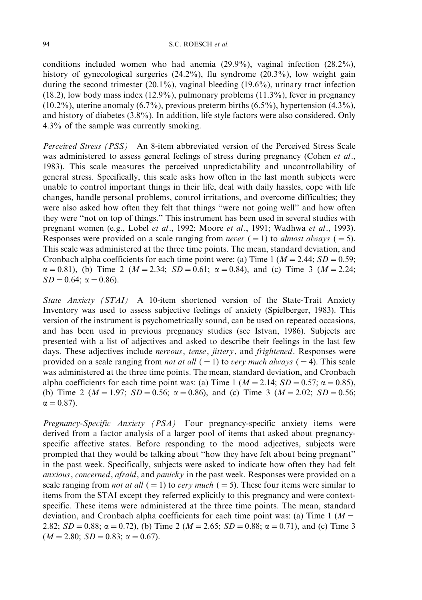conditions included women who had anemia (29.9%), vaginal infection (28.2%), history of gynecological surgeries (24.2%), flu syndrome (20.3%), low weight gain during the second trimester (20.1%), vaginal bleeding (19.6%), urinary tract infection (18.2), low body mass index (12.9%), pulmonary problems (11.3%), feverin pregnancy  $(10.2\%)$ , uterine anomaly  $(6.7\%)$ , previous preterm births  $(6.5\%)$ , hypertension  $(4.3\%)$ , and history of diabetes (3.8%). In addition, life style factors were also considered. Only 4.3% of the sample was currently smoking.

Perceived Stress (PSS) An 8-item abbreviated version of the Perceived Stress Scale was administered to assess general feelings of stress during pregnancy (Cohen et al., 1983). This scale measures the perceived unpredictability and uncontrollability of general stress. Specifically, this scale asks how often in the last month subjects were unable to control important things in their life, deal with daily hassles, cope with life changes, handle personal problems, control irritations, and overcome difficulties; they were also asked how often they felt that things ''were not going well'' and how often they were ''not on top of things.'' This instrument has been used in several studies with pregnant women (e.g., Lobel et al., 1992; Moore et al., 1991; Wadhwa et al., 1993). Responses were provided on a scale ranging from *never*  $(= 1)$  to *almost always*  $(= 5)$ . This scale was administered at the three time points. The mean, standard deviation, and Cronbach alpha coefficients for each time point were: (a) Time 1 ( $M = 2.44$ ;  $SD = 0.59$ ;  $\alpha = 0.81$ , (b) Time 2 (M = 2.34; SD = 0.61;  $\alpha = 0.84$ ), and (c) Time 3 (M = 2.24;  $SD = 0.64$ ;  $\alpha = 0.86$ ).

State Anxiety (STAI) A 10-item shortened version of the State-Trait Anxiety Inventory was used to assess subjective feelings of anxiety (Spielberger, 1983). This version of the instrument is psychometrically sound, can be used on repeated occasions, and has been used in previous pregnancy studies (see Istvan, 1986). Subjects are presented with a list of adjectives and asked to describe their feelings in the last few days. These adjectives include nervous, tense, jittery, and frightened. Responses were provided on a scale ranging from *not at all*  $(=1)$  to *very much always*  $(=4)$ . This scale was administered at the three time points. The mean, standard deviation, and Cronbach alpha coefficients for each time point was: (a) Time 1 ( $M = 2.14$ ;  $SD = 0.57$ ;  $\alpha = 0.85$ ), (b) Time 2 ( $M = 1.97$ ;  $SD = 0.56$ ;  $\alpha = 0.86$ ), and (c) Time 3 ( $M = 2.02$ ;  $SD = 0.56$ ;  $\alpha = 0.87$ ).

Pregnancy-Specific Anxiety (PSA) Four pregnancy-specific anxiety items were derived from a factor analysis of a larger pool of items that asked about pregnancyspecific affective states. Before responding to the mood adjectives, subjects were prompted that they would be talking about ''how they have felt about being pregnant'' in the past week. Specifically, subjects were asked to indicate how often they had felt anxious, concerned, afraid, and panicky in the past week. Responses were provided on a scale ranging from *not at all*  $(= 1)$  to *very much*  $(= 5)$ . These four items were similar to items from the STAI except they referred explicitly to this pregnancy and were contextspecific. These items were administered at the three time points. The mean, standard deviation, and Cronbach alpha coefficients for each time point was: (a) Time 1 ( $M =$ 2.82;  $SD = 0.88$ ;  $\alpha = 0.72$ ), (b) Time 2 ( $M = 2.65$ ;  $SD = 0.88$ ;  $\alpha = 0.71$ ), and (c) Time 3  $(M = 2.80; SD = 0.83; \alpha = 0.67).$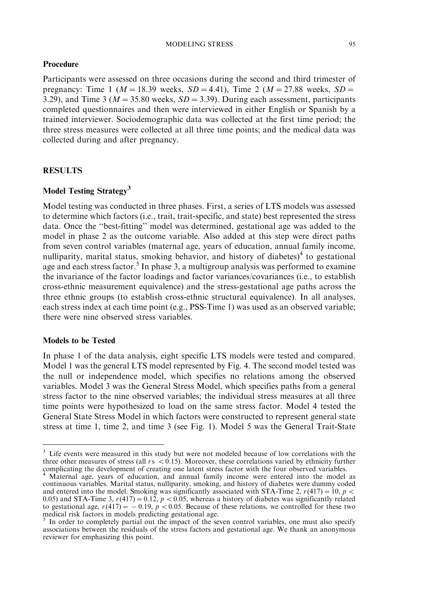# Procedure

Participants were assessed on three occasions during the second and third trimester of pregnancy: Time 1 ( $M = 18.39$  weeks,  $SD = 4.41$ ), Time 2 ( $M = 27.88$  weeks,  $SD =$ 3.29), and Time 3 ( $M = 35.80$  weeks,  $SD = 3.39$ ). During each assessment, participants completed questionnaires and then were interviewed in either English or Spanish by a trained interviewer. Sociodemographic data was collected at the first time period; the three stress measures were collected at all three time points; and the medical data was collected during and after pregnancy.

# **RESULTS**

# Model Testing Strategy<sup>3</sup>

Model testing was conducted in three phases. First, a series of LTS models was assessed to determine which factors (i.e., trait, trait-specific, and state) best represented the stress data. Once the ''best-fitting'' model was determined, gestational age was added to the model in phase 2 as the outcome variable. Also added at this step were direct paths from seven control variables (maternal age, years of education, annual family income, nulliparity, marital status, smoking behavior, and history of diabetes)<sup>4</sup> to gestational age and each stress factor.<sup>5</sup> In phase 3, a multigroup analysis was performed to examine the invariance of the factor loadings and factor variances/covariances (i.e., to establish cross-ethnic measurement equivalence) and the stress-gestational age paths across the three ethnic groups (to establish cross-ethnic structural equivalence). In all analyses, each stress index at each time point (e.g., PSS-Time 1) was used as an observed variable; there were nine observed stress variables.

#### Models to be Tested

In phase 1 of the data analysis, eight specific LTS models were tested and compared. Model 1 was the general LTS model represented by Fig. 4. The second model tested was the null or independence model, which specifies no relations among the observed variables. Model 3 was the General Stress Model, which specifies paths from a general stress factor to the nine observed variables; the individual stress measures at all three time points were hypothesized to load on the same stress factor. Model 4 tested the General State Stress Model in which factors were constructed to represent general state stress at time 1, time 2, and time 3 (see Fig. 1). Model 5 was the General Trait-State

<sup>&</sup>lt;sup>3</sup> Life events were measured in this study but were not modeled because of low correlations with the three other measures of stress (all  $rs < 0.15$ ). Moreover, these correlations varied by ethnicity further complicating the development of creating one latent stress factor with the four observed variables.

Maternal age, years of education, and annual family income were entered into the model as continuous variables. Marital status, nulliparity, smoking, and history of diabetes were dummy coded and entered into the model. Smoking was significantly associated with STA-Time 2,  $r(417) = 10$ ,  $p <$ 0.05) and STA-Time 3,  $r(417) = 0.12$ ,  $p < 0.05$ , whereas a history of diabetes was significantly related to gestational age,  $r(417) = -0.19$ ,  $p < 0.05$ . Because of these relations, we controlled for these two medical risk factors in models predicting gestational age.

 $<sup>5</sup>$  In order to completely partial out the impact of the seven control variables, one must also specify</sup> associations between the residuals of the stress factors and gestational age. We thank an anonymous reviewer for emphasizing this point.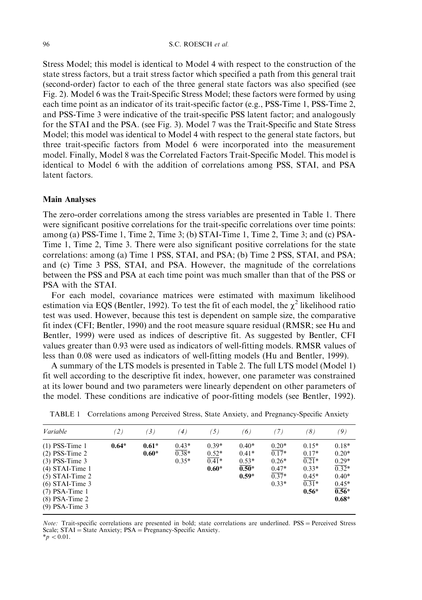Stress Model; this model is identical to Model 4 with respect to the construction of the state stress factors, but a trait stress factor which specified a path from this general trait (second-order) factor to each of the three general state factors was also specified (see Fig. 2). Model 6 was the Trait-Specific Stress Model; these factors were formed by using each time point as an indicator of its trait-specific factor (e.g., PSS-Time 1, PSS-Time 2, and PSS-Time 3 were indicative of the trait-specific PSS latent factor; and analogously for the STAI and the PSA. (see Fig. 3). Model 7 was the Trait-Specific and State Stress Model; this model was identical to Model 4 with respect to the general state factors, but three trait-specific factors from Model 6 were incorporated into the measurement model. Finally, Model 8 was the Correlated Factors Trait-Specific Model. This model is identical to Model 6 with the addition of correlations among PSS, STAI, and PSA latent factors.

#### Main Analyses

The zero-order correlations among the stress variables are presented in Table 1. There were significant positive correlations for the trait-specific correlations overtime points: among (a) PSS-Time 1, Time 2, Time 3; (b) STAI-Time 1, Time 2, Time 3; and (c) PSA-Time 1, Time 2, Time 3. There were also significant positive correlations for the state correlations: among (a) Time 1 PSS, STAI, and PSA; (b) Time 2 PSS, STAI, and PSA; and (c) Time 3 PSS, STAI, and PSA. However, the magnitude of the correlations between the PSS and PSA at each time point was much smaller than that of the PSS or PSA with the STAI.

For each model, covariance matrices were estimated with maximum likelihood estimation via EQS (Bentler, 1992). To test the fit of each model, the  $\chi^2$  likelihood ratio test was used. However, because this test is dependent on sample size, the comparative fit index (CFI; Bentler, 1990) and the root measure square residual (RMSR; see Hu and Bentler, 1999) were used as indices of descriptive fit. As suggested by Bentler, CFI values greater than 0.93 were used as indicators of well-fitting models. RMSR values of less than 0.08 were used as indicators of well-fitting models (Hu and Bentler, 1999).

A summary of the LTS models is presented in Table 2. The full LTS model (Model 1) fit well according to the descriptive fit index, however, one parameter was constrained at its lower bound and two parameters were linearly dependent on other parameters of the model. These conditions are indicative of poor-fitting models (see Bentler, 1992).

| Variable          | (2)     | $\left(3\right)$ | $\left( 4\right)$ | (5)     | (6)     | (7)     | (8)     | (9)     |
|-------------------|---------|------------------|-------------------|---------|---------|---------|---------|---------|
| $(1)$ PSS-Time 1  | $0.64*$ | $0.61*$          | $0.43*$           | $0.39*$ | $0.40*$ | $0.20*$ | $0.15*$ | $0.18*$ |
| $(2)$ PSS-Time 2  |         | $0.60*$          | $0.38*$           | $0.52*$ | $0.41*$ | $0.17*$ | $0.17*$ | $0.20*$ |
| $(3)$ PSS-Time 3  |         |                  | $0.35*$           | $0.41*$ | $0.53*$ | $0.26*$ | $0.21*$ | $0.29*$ |
| $(4)$ STAI-Time 1 |         |                  |                   | $0.60*$ | $0.50*$ | $0.47*$ | $0.33*$ | $0.32*$ |
| $(5)$ STAI-Time 2 |         |                  |                   |         | $0.59*$ | $0.37*$ | $0.45*$ | $0.40*$ |
| $(6)$ STAI-Time 3 |         |                  |                   |         |         | $0.33*$ | $0.31*$ | $0.45*$ |
| $(7)$ PSA-Time 1  |         |                  |                   |         |         |         | $0.56*$ | $0.56*$ |
| $(8)$ PSA-Time 2  |         |                  |                   |         |         |         |         | $0.68*$ |
| $(9)$ PSA-Time 3  |         |                  |                   |         |         |         |         |         |

TABLE 1 Correlations among Perceived Stress, State Anxiety, and Pregnancy-Specific Anxiety

Note: Trait-specific correlations are presented in bold; state correlations are underlined. PSS = Perceived Stress Scale; STAI = State Anxiety; PSA = Pregnancy-Specific Anxiety.  $*_{p}$  < 0.01.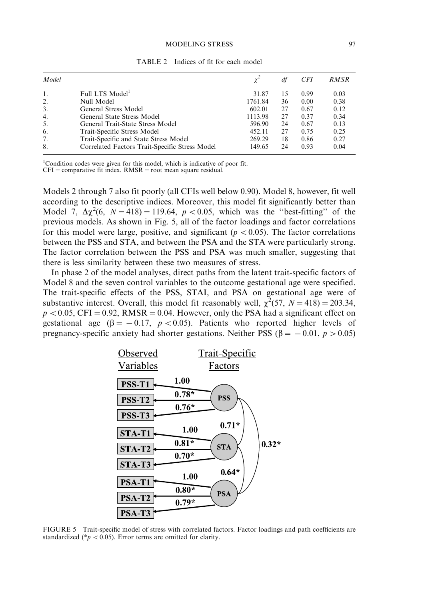#### MODELING STRESS 97

| Model            |                                                |         | dt | <i>CFI</i> | <i>RMSR</i> |
|------------------|------------------------------------------------|---------|----|------------|-------------|
| 1.               | Full LTS Model <sup>1</sup>                    | 31.87   | 15 | 0.99       | 0.03        |
| 2.               | Null Model                                     | 1761.84 | 36 | 0.00       | 0.38        |
| 3.               | General Stress Model                           | 602.01  | 27 | 0.67       | 0.12        |
| $\overline{4}$ . | General State Stress Model                     | 1113.98 | 27 | 0.37       | 0.34        |
| 5.               | General Trait-State Stress Model               | 596.90  | 24 | 0.67       | 0.13        |
| 6.               | Trait-Specific Stress Model                    | 452.11  | 27 | 0.75       | 0.25        |
| 7.               | Trait-Specific and State Stress Model          | 269.29  | 18 | 0.86       | 0.27        |
| 8.               | Correlated Factors Trait-Specific Stress Model | 149.65  | 24 | 0.93       | 0.04        |

TABLE 2 Indices of fit for each model

<sup>1</sup>Condition codes were given for this model, which is indicative of poor fit.  $CFI = \text{comparative fit index. RMSR} = \text{root mean square residual.}$ 

Models 2 through 7 also fit poorly (all CFIs well below 0.90). Model 8, however, fit well according to the descriptive indices. Moreover, this model fit significantly better than Model 7,  $\Delta \chi^2(6, N = 418) = 119.64$ ,  $p < 0.05$ , which was the "best-fitting" of the previous models. As shown in Fig. 5, all of the factor loadings and factor correlations for this model were large, positive, and significant ( $p < 0.05$ ). The factor correlations between the PSS and STA, and between the PSA and the STA were particularly strong. The factor correlation between the PSS and PSA was much smaller, suggesting that there is less similarity between these two measures of stress.

In phase 2 of the model analyses, direct paths from the latent trait-specific factors of Model 8 and the seven control variables to the outcome gestational age were specified. The trait-specific effects of the PSS, STAI, and PSA on gestational age were of substantive interest. Overall, this model fit reasonably well,  $\chi^2(57, N=418) = 203.34$ ,  $p < 0.05$ , CFI = 0.92, RMSR = 0.04. However, only the PSA had a significant effect on gestational age ( $\beta = -0.17$ ,  $p < 0.05$ ). Patients who reported higher levels of pregnancy-specific anxiety had shorter gestations. Neither PSS ( $\beta = -0.01, p > 0.05$ )



FIGURE 5 Trait-specific model of stress with correlated factors. Factor loadings and path coefficients are standardized (\* $p < 0.05$ ). Error terms are omitted for clarity.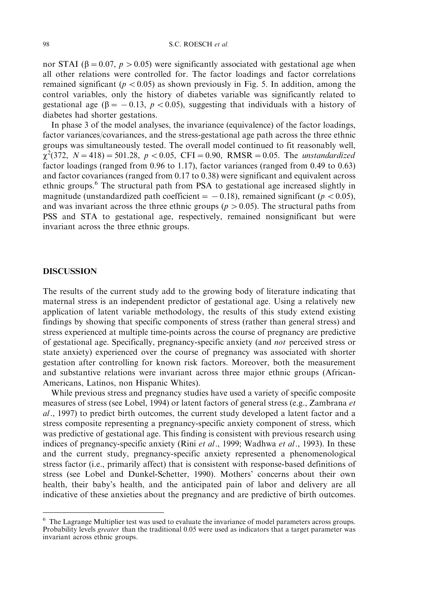nor STAI ( $\beta = 0.07$ ,  $p > 0.05$ ) were significantly associated with gestational age when all other relations were controlled for. The factor loadings and factor correlations remained significant ( $p < 0.05$ ) as shown previously in Fig. 5. In addition, among the control variables, only the history of diabetes variable was significantly related to gestational age ( $\beta = -0.13$ ,  $p < 0.05$ ), suggesting that individuals with a history of diabetes had shorter gestations.

In phase 3 of the model analyses, the invariance (equivalence) of the factor loadings, factor variances/covariances, and the stress-gestational age path across the three ethnic groups was simultaneously tested. The overall model continued to fit reasonably well,  $\chi^2(372, N=418) = 501.28, p < 0.05, CFI = 0.90, RMSR = 0.05.$  The unstandardized factor loadings (ranged from 0.96 to 1.17), factor variances (ranged from 0.49 to 0.63) and factor covariances (ranged from  $0.17$  to  $0.38$ ) were significant and equivalent across ethnic groups.<sup>6</sup> The structural path from PSA to gestational age increased slightly in magnitude (unstandardized path coefficient  $= -0.18$ ), remained significant ( $p < 0.05$ ), and was invariant across the three ethnic groups ( $p > 0.05$ ). The structural paths from PSS and STA to gestational age, respectively, remained nonsignificant but were invariant across the three ethnic groups.

# **DISCUSSION**

The results of the current study add to the growing body of literature indicating that maternal stress is an independent predictor of gestational age. Using a relatively new application of latent variable methodology, the results of this study extend existing findings by showing that specific components of stress (rather than general stress) and stress experienced at multiple time-points across the course of pregnancy are predictive of gestational age. Specifically, pregnancy-specific anxiety (and not perceived stress or state anxiety) experienced over the course of pregnancy was associated with shorter gestation after controlling for known risk factors. Moreover, both the measurement and substantive relations were invariant across three major ethnic groups (African-Americans, Latinos, non Hispanic Whites).

While previous stress and pregnancy studies have used a variety of specific composite measures of stress (see Lobel, 1994) or latent factors of general stress (e.g., Zambrana et  $al.$ , 1997) to predict birth outcomes, the current study developed a latent factor and a stress composite representing a pregnancy-specific anxiety component of stress, which was predictive of gestational age. This finding is consistent with previous research using indices of pregnancy-specific anxiety (Rini et al., 1999; Wadhwa et al., 1993). In these and the current study, pregnancy-specific anxiety represented a phenomenological stress factor (i.e., primarily affect) that is consistent with response-based definitions of stress (see Lobel and Dunkel-Schetter, 1990). Mothers' concerns about their own health, their baby's health, and the anticipated pain of labor and delivery are all indicative of these anxieties about the pregnancy and are predictive of birth outcomes.

<sup>6</sup> The Lagrange Multiplier test was used to evaluate the invariance of model parameters across groups. Probability levels *greater* than the traditional 0.05 were used as indicators that a target parameter was invariant across ethnic groups.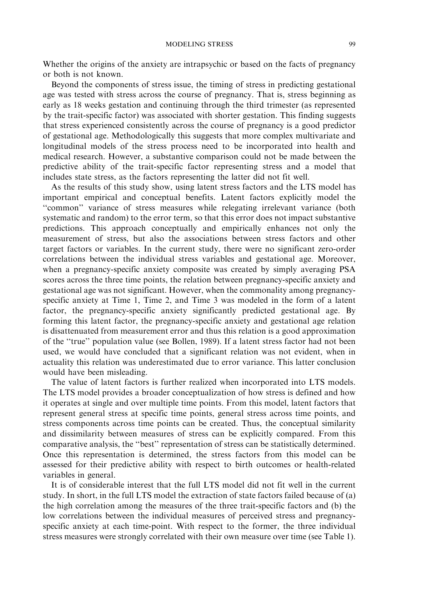Whether the origins of the anxiety are intrapsychic or based on the facts of pregnancy or both is not known.

Beyond the components of stress issue, the timing of stress in predicting gestational age was tested with stress across the course of pregnancy. That is, stress beginning as early as 18 weeks gestation and continuing through the third trimester (as represented by the trait-specific factor) was associated with shorter gestation. This finding suggests that stress experienced consistently across the course of pregnancy is a good predictor of gestational age. Methodologically this suggests that more complex multivariate and longitudinal models of the stress process need to be incorporated into health and medical research. However, a substantive comparison could not be made between the predictive ability of the trait-specific factor representing stress and a model that includes state stress, as the factors representing the latter did not fit well.

As the results of this study show, using latent stress factors and the LTS model has important empirical and conceptual benefits. Latent factors explicitly model the ''common'' variance of stress measures while relegating irrelevant variance (both systematic and random) to the error term, so that this error does not impact substantive predictions. This approach conceptually and empirically enhances not only the measurement of stress, but also the associations between stress factors and other target factors or variables. In the current study, there were no significant zero-order correlations between the individual stress variables and gestational age. Moreover, when a pregnancy-specific anxiety composite was created by simply averaging PSA scores across the three time points, the relation between pregnancy-specific anxiety and gestational age was not significant. However, when the commonality among pregnancyspecific anxiety at Time 1, Time 2, and Time 3 was modeled in the form of a latent factor, the pregnancy-specific anxiety significantly predicted gestational age. By forming this latent factor, the pregnancy-specific anxiety and gestational age relation is disattenuated from measurement error and thus this relation is a good approximation of the ''true'' population value (see Bollen, 1989). If a latent stress factor had not been used, we would have concluded that a significant relation was not evident, when in actuality this relation was underestimated due to error variance. This latter conclusion would have been misleading.

The value of latent factors is further realized when incorporated into LTS models. The LTS model provides a broader conceptualization of how stress is defined and how it operates at single and over multiple time points. From this model, latent factors that represent general stress at specific time points, general stress across time points, and stress components across time points can be created. Thus, the conceptual similarity and dissimilarity between measures of stress can be explicitly compared. From this comparative analysis, the ''best'' representation of stress can be statistically determined. Once this representation is determined, the stress factors from this model can be assessed for their predictive ability with respect to birth outcomes or health-related variables in general.

It is of considerable interest that the full LTS model did not fit well in the current study. In short, in the full LTS model the extraction of state factors failed because of (a) the high correlation among the measures of the three trait-specific factors and (b) the low correlations between the individual measures of perceived stress and pregnancyspecific anxiety at each time-point. With respect to the former, the three individual stress measures were strongly correlated with their own measure overtime (see Table 1).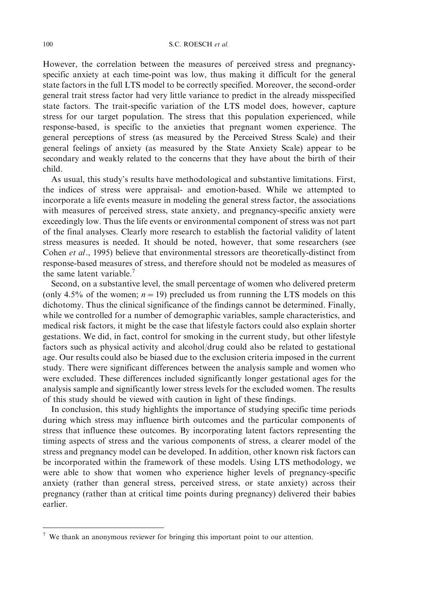However, the correlation between the measures of perceived stress and pregnancyspecific anxiety at each time-point was low, thus making it difficult for the general state factors in the full LTS model to be correctly specified. Moreover, the second-order general trait stress factor had very little variance to predict in the already misspecified state factors. The trait-specific variation of the LTS model does, however, capture stress for our target population. The stress that this population experienced, while response-based, is specific to the anxieties that pregnant women experience. The general perceptions of stress (as measured by the Perceived Stress Scale) and their general feelings of anxiety (as measured by the State Anxiety Scale) appear to be secondary and weakly related to the concerns that they have about the birth of their child.

As usual, this study's results have methodological and substantive limitations. First, the indices of stress were appraisal- and emotion-based. While we attempted to incorporate a life events measure in modeling the general stress factor, the associations with measures of perceived stress, state anxiety, and pregnancy-specific anxiety were exceedingly low. Thus the life events orenvironmental component of stress was not part of the final analyses. Clearly more research to establish the factorial validity of latent stress measures is needed. It should be noted, however, that some researchers (see Cohen et al., 1995) believe that environmental stressors are theoretically-distinct from response-based measures of stress, and therefore should not be modeled as measures of the same latent variable.<sup>7</sup>

Second, on a substantive level, the small percentage of women who delivered preterm (only 4.5% of the women;  $n = 19$ ) precluded us from running the LTS models on this dichotomy. Thus the clinical significance of the findings cannot be determined. Finally, while we controlled for a number of demographic variables, sample characteristics, and medical risk factors, it might be the case that lifestyle factors could also explain shorter gestations. We did, in fact, control for smoking in the current study, but other lifestyle factors such as physical activity and alcohol/drug could also be related to gestational age. Our results could also be biased due to the exclusion criteria imposed in the current study. There were significant differences between the analysis sample and women who were excluded. These differences included significantly longer gestational ages for the analysis sample and significantly lower stress levels for the excluded women. The results of this study should be viewed with caution in light of these findings.

In conclusion, this study highlights the importance of studying specific time periods during which stress may influence birth outcomes and the particular components of stress that influence these outcomes. By incorporating latent factors representing the timing aspects of stress and the various components of stress, a clearer model of the stress and pregnancy model can be developed. In addition, other known risk factors can be incorporated within the framework of these models. Using LTS methodology, we were able to show that women who experience higher levels of pregnancy-specific anxiety (rather than general stress, perceived stress, or state anxiety) across their pregnancy (rather than at critical time points during pregnancy) delivered their babies earlier.

 $7$  We thank an anonymous reviewer for bringing this important point to our attention.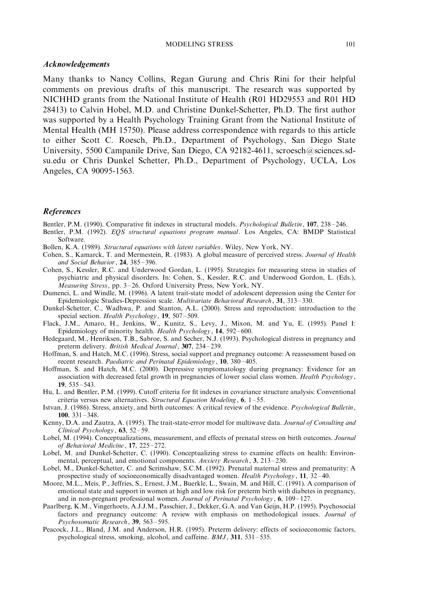#### MODELING STRESS 101

# Acknowledgements

Many thanks to Nancy Collins, Regan Gurung and Chris Rini for their helpful comments on previous drafts of this manuscript. The research was supported by NICHHD grants from the National Institute of Health (R01 HD29553 and R01 HD 28413) to Calvin Hobel, M.D. and Christine Dunkel-Schetter, Ph.D. The first author was supported by a Health Psychology Training Grant from the National Institute of Mental Health (MH 15750). Please address correspondence with regards to this article to either Scott C. Roesch, Ph.D., Department of Psychology, San Diego State University, 5500 Campanile Drive, San Diego, CA 92182-4611, scroesch@sciences.sdsu.edu or Chris Dunkel Schetter, Ph.D., Department of Psychology, UCLA, Los Angeles, CA 90095-1563.

# References

- Bentler, P.M. (1990). Comparative fit indexes in structural models. *Psychological Bulletin*, **107**, 238–246.
- Bentler, P.M. (1992). EQS structural equations program manual. Los Angeles, CA: BMDP Statistical Software.
- Bollen, K.A. (1989). Structural equations with latent variables. Wiley, New York, NY.
- Cohen, S., Kamarck, T. and Mermestein, R. (1983). A global measure of perceived stress. Journal of Health and Social Behavior,  $24$ ,  $385-396$ .
- Cohen, S., Kessler, R.C. and Underwood Gordan, L. (1995). Strategies for measuring stress in studies of psychiatric and physical disorders. In: Cohen, S., Kessler, R.C. and Underwood Gordon, L. (Eds.), Measuring Stress, pp. 3-26. Oxford University Press, New York, NY.
- Dumenci, L. and Windle, M. (1996). A latent trait-state model of adolescent depression using the Center for Epidemiologic Studies-Depression scale. Multivariate Behavioral Research, 31, 313-330.
- Dunkel-Schetter, C., Wadhwa, P. and Stanton, A.L. (2000). Stress and reproduction: introduction to the special section. Health Psychology, 19, 507-509.
- Flack, J.M., Amaro, H., Jenkins, W., Kunitz, S., Levy, J., Mixon, M. and Yu, E. (1995). Panel I: Epidemiology of minority health. Health Psychology, 14, 592-600.
- Hedegaard, M., Henriksen, T.B., Sabroe, S. and Secher, N.J. (1993). Psychological distress in pregnancy and preterm delivery. British Medical Journal, 307, 234-239.
- Hoffman, S. and Hatch, M.C. (1996). Stress, social support and pregnancy outcome: A reassessment based on recent research. Paediatric and Perinatal Epidemiology,  $10$ ,  $380-405$ .
- Hoffman, S. and Hatch, M.C. (2000). Depressive symptomatology during pregnancy: Evidence foran association with decreased fetal growth in pregnancies of lower social class women. Health Psychology, 19,  $535 - 543$ .
- Hu, L. and Bentler, P.M. (1999). Cutoff criteria for fit indexes in covariance structure analysis: Conventional criteria versus new alternatives. Structural Equation Modeling,  $6$ ,  $1 - 55$ .
- Istvan, J. (1986). Stress, anxiety, and birth outcomes: A critical review of the evidence. Psychological Bulletin, 100,  $331 - 348$ .
- Kenny, D.A. and Zautra, A. (1995). The trait-state-error model for multiwave data. Journal of Consulting and Clinical Psychology,  $63$ ,  $52-59$ .
- Lobel, M. (1994). Conceptualizations, measurement, and effects of prenatal stress on birth outcomes. Journal of Behavioral Medicine, 17, 225-272.
- Lobel, M. and Dunkel-Schetter, C. (1990). Conceptualizing stress to examine effects on health: Environmental, perceptual, and emotional components. Anxiety Research, 3, 213-230.
- Lobel, M., Dunkel-Schetter, C. and Scrimshaw, S.C.M. (1992). Prenatal maternal stress and prematurity: A prospective study of socioeconomically disadvantaged women. Health Psychology,  $11$ ,  $32-40$ .
- Moore, M.L., Meis, P., Jeffries, S., Ernest, J.M., Buerkle, L., Swain, M. and Hill, C. (1991). A comparison of emotional state and support in women at high and low risk for preterm birth with diabetes in pregnancy, and in non-pregnant professional women. Journal of Perinatal Psychology,  $6$ , 109-127.
- Paarlberg, K.M., Vingerhoets, A.J.J.M., Passchier, J., Dekker, G.A. and Van Geijn, H.P. (1995). Psychosocial factors and pregnancy outcome: A review with emphasis on methodological issues. Journal of Psychosomatic Research, 39, 563-595.
- Peacock, J.L., Bland, J.M. and Anderson, H.R. (1995). Preterm delivery: effects of socioeconomic factors, psychological stress, smoking, alcohol, and caffeine.  $BMJ$ , 311, 531–535.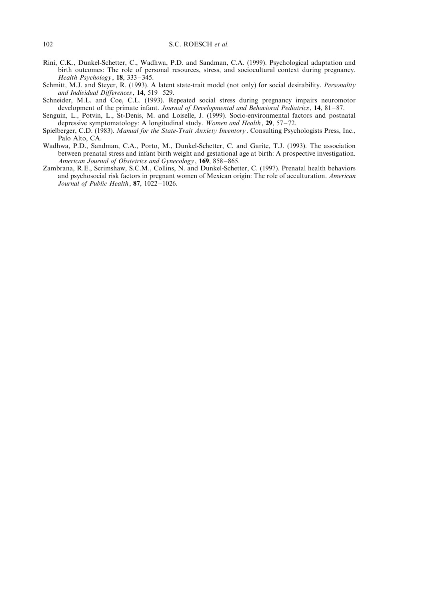- Rini, C.K., Dunkel-Schetter, C., Wadhwa, P.D. and Sandman, C.A. (1999). Psychological adaptation and birth outcomes: The role of personal resources, stress, and sociocultural context during pregnancy. Health Psychology,  $18$ ,  $333-345$ .
- Schmitt, M.J. and Steyer, R. (1993). A latent state-trait model (not only) for social desirability. Personality and Individual Differences,  $14$ ,  $519-529$ .
- Schneider, M.L. and Coe, C.L. (1993). Repeated social stress during pregnancy impairs neuromotor development of the primate infant. Journal of Developmental and Behavioral Pediatrics,  $14$ ,  $81-87$ .
- Senguin, L., Potvin, L., St-Denis, M. and Loiselle, J. (1999). Socio-environmental factors and postnatal depressive symptomatology: A longitudinal study. Women and Health, 29, 57-72.
- Spielberger, C.D. (1983). Manual for the State-Trait Anxiety Inventory. Consulting Psychologists Press, Inc., Palo Alto, CA.
- Wadhwa, P.D., Sandman, C.A., Porto, M., Dunkel-Schetter, C. and Garite, T.J. (1993). The association between prenatal stress and infant birth weight and gestational age at birth: A prospective investigation. American Journal of Obstetrics and Gynecology, 169, 858-865.
- Zambrana, R.E., Scrimshaw, S.C.M., Collins, N. and Dunkel-Schetter, C. (1997). Prenatal health behaviors and psychosocial risk factors in pregnant women of Mexican origin: The role of acculturation. American Journal of Public Health,  $87$ ,  $1022-1026$ .